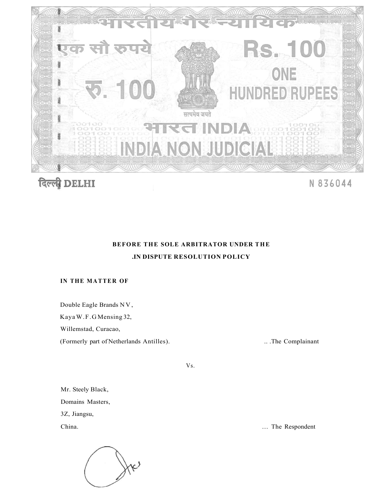



N 836044

# **BEFORE THE SOLE ARBITRATOR UNDER THE .IN DISPUTE RESOLUTION POLICY**

### **IN THE MATTER OF**

Double Eagle Brands NV ,

Kaya W.F.G Mensing 32,

Willemstad, Curacao,

(Formerly part of Netherlands Antilles). .. .The Complainant

Vs.

Mr. Steely Black, Domains Masters, 3Z, Jiangsu,



China. ... The Respondent ... The Respondent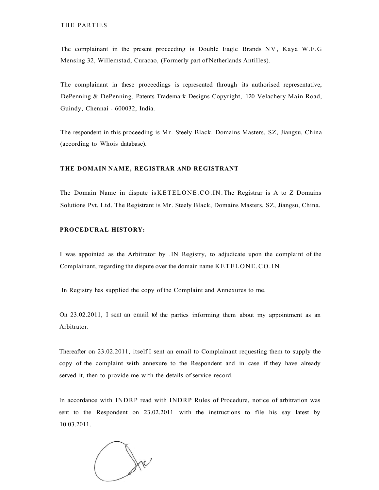THE PARTIES

The complainant in the present proceeding is Double Eagle Brands NV, Kaya W.F.G Mensing 32, Willemstad, Curacao, (Formerly part of Netherlands Antilles).

The complainant in these proceedings is represented through its authorised representative, DePenning & DePenning. Patents Trademark Designs Copyright, 120 Velachery Main Road, Guindy, Chennai - 600032, India.

The respondent in this proceeding is Mr. Steely Black. Domains Masters, SZ, Jiangsu, China (according to Whois database).

#### **THE DOMAIN NAME, REGISTRAR AND REGISTRANT**

The Domain Name in dispute is KETELONE.CO.IN. The Registrar is A to Z Domains Solutions Pvt. Ltd. The Registrant is Mr. Steely Black, Domains Masters, SZ, Jiangsu, China.

#### **PROCEDURAL HISTORY:**

I was appointed as the Arbitrator by .IN Registry, to adjudicate upon the complaint of the Complainant, regarding the dispute over the domain name KETELONE.CO.IN.

In Registry has supplied the copy of the Complaint and Annexures to me.

On 23.02.2011, I sent an email to! the parties informing them about my appointment as an Arbitrator.

Thereafter on 23.02.2011, itself I sent an email to Complainant requesting them to supply the copy of the complaint with annexure to the Respondent and in case if they have already served it, then to provide me with the details of service record.

In accordance with INDRP read with INDRP Rules of Procedure, notice of arbitration was sent to the Respondent on 23.02.2011 with the instructions to file his say latest by 10.03.2011.

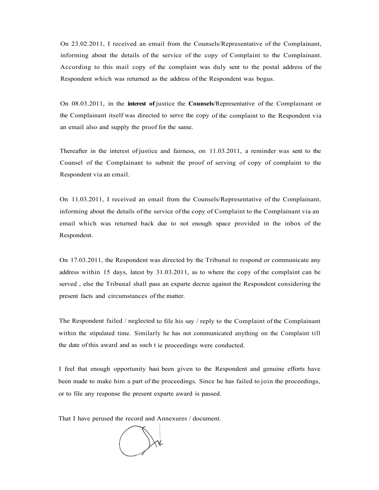On 23.02.2011, I received an email from the Counsels/Representative of the Complainant, informing about the details of the service of the copy of Complaint to the Complainant. According to this mail copy of the complaint was duly sent to the postal address of the Respondent which was returned as the address of the Respondent was bogus.

On 08.03.2011, in the **interest of** justice the **Counsels**/Representative of the Complainant or the Complainant itself was directed to serve the copy of the complaint to the Respondent via an email also and supply the proof for the same.

Thereafter in the interest of justice and fairness, on 11.03.2011, a reminder was sent to the Counsel of the Complainant to submit the proof of serving of copy of complaint to the Respondent via an email.

On 11.03.2011, I received an email from the Counsels/Representative of the Complainant, informing about the details of the service of the copy of Complaint to the Complainant via an email which was returned back due to not enough space provided in the inbox of the Respondent.

On 17.03.2011, the Respondent was directed by the Tribunal to respond or communicate any address within 15 days, latest by 31.03.2011, as to where the copy of the complaint can be served , else the Tribunal shall pass an exparte decree against the Respondent considering the present facts and circumstances of the matter.

The Respondent failed / neglected to file his say / reply to the Complaint of the Complainant within the stipulated time. Similarly he has not communicated anything on the Complaint till the date of this award and as such t ie proceedings were conducted.

I feel that enough opportunity hasi been given to the Respondent and genuine efforts have been made to make him a part of the proceedings. Since he has failed to join the proceedings, or to file any response the present exparte award is passed.

That I have perused the record and Annexures / document.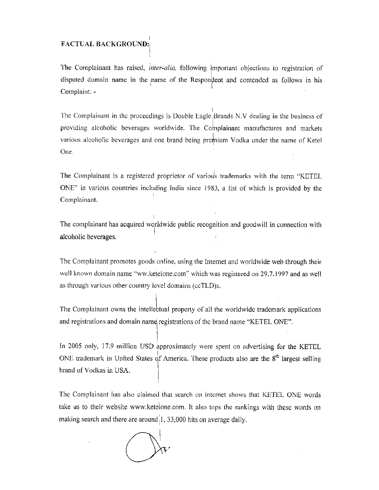### **FACTUAL BACKGROUND:**

The Complainant has raised, inter-alia, following important objections to registration of disputed domain name in the name of the Respondent and contended as follows in his Complaint: -

The Complainant in the proceedings is Double Eagle Brands N.V dealing in the business of providing alcoholic beverages worldwide. The Complainant manufactures and markets various alcoholic beverages and one brand being premium Vodka under the name of Ketel One.

The Complainant is a registered proprietor of various trademarks with the term "KETEL ONE" in various countries including India since 1983, a list of which is provided by the Complainant.

The complainant has acquired worldwide public recognition and goodwill in connection with alcoholic beverages.

The Complainant promotes goods online, using the Internet and worldwide web through their well known domain name "ww.ketelone.com" which was registered on 29.7.1997 and as well as through various other country level domains (ccTLD)s.

The Complainant owns the intellectual property of all the worldwide trademark applications and registrations and domain name registrations of the brand name "KETEL ONE".

In 2005 only, 17.9 million USD approximately were spent on advertising for the KETEL ONE trademark in United States of America. These products also are the  $8<sup>th</sup>$  largest selling brand of Vodkas in USA.

The Complainant has also claimed that search on internet shows that KETEL ONE words take us to their website www.ketelone.com. It also tops the rankings with these words on making search and there are around 1, 33,000 hits on average daily.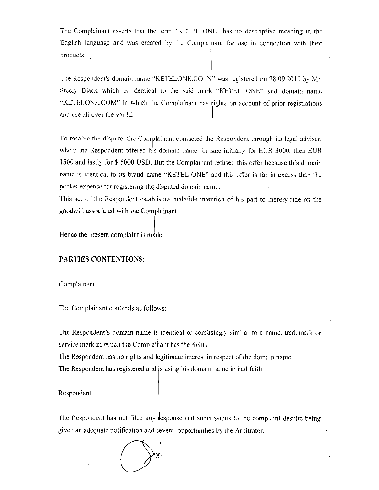The Complainant asserts that the term "KETEL ONE" has no descriptive meaning in the English language and was created by the Complainant for use in connection with their products.

The Respondent's domain name "KETELONE.CO.IN" was registered on 28.09.2010 by Mr. Steely Black which is identical to the said mark "KETEL ONE" and domain name "KETELONE.COM" in which the Complainant has rights on account of prior registrations and use all over the world.

To resolve the dispute, the Complainant contacted the Respondent through its legal adviser, where the Respondent offered his domain name for sale initially for EUR 3000, then EUR 1500 and lastly for \$5000 USD but the Complainant refused this offer because this domain name is identical to its brand name "KETEL ONE" and this offer is far in excess than the pocket expense for registering the disputed domain name.

This act of the Respondent establishes malafide intention of his part to merely ride on the goodwill associated with the Complainant.

Hence the present complaint is made.

### **PARTIES CONTENTIONS:**

Complainant

The Complainant contends as follows:

The Respondent's domain name is identical or confusingly similar to a name, trademark or service mark in which the Complainant has the rights.

The Respondent has no rights and legitimate interest in respect of the domain name. The Respondent has registered and is using his domain name in bad faith.

#### Respondent

The Respondent has not filed any response and submissions to the complaint despite being given an adequate notification and several opportunities by the Arbitrator.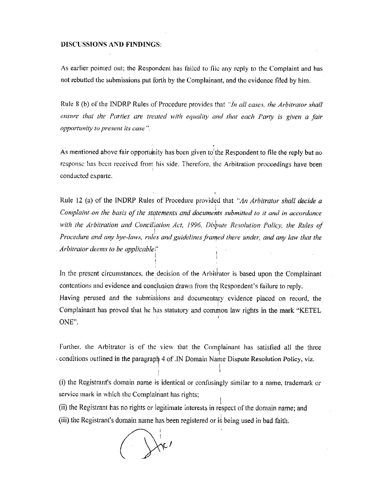#### **DISCUSSIONS AND FINDINGS:**

As earlier pointed out; the Respondent has failed to file any reply to the Complaint and has not rebutted the submissions put forth by the Complainant, and the evidence filed by him.

Rule 8 (b) of the INDRP Rules of Procedure provides that "In all cases, the Arbitrator shall ensure that the Parties are treated with equality and that each Party is given a fair opportunity to present its case".

As mentioned above fair opportunity has been given to the Respondent to file the reply but no response has been received from his side. Therefore, the Arbitration proceedings have been conducted exparte.

Rule 12 (a) of the INDRP Rules of Procedure provided that "An Arbitrator shall decide a Complaint on the basis of the statements and documents submitted to it and in accordance with the Arbitration and Conciliation Act, 1996, Dispute Resolution Policy, the Rules of Procedure and any bye-laws, rules and guidelines framed there under, and any law that the Arbitrator deems to be applicable!"

In the present circumstances, the decision of the Arbitrator is based upon the Complainant contentions and evidence and conclusion drawn from the Respondent's failure to reply. Having perused and the submissions and documentary evidence placed on record, the Complainant has proved that he has statutory and common law rights in the mark "KETEL ONE".

Further, the Arbitrator is of the view that the Complainant has satisfied all the three conditions outlined in the paragraph 4 of .IN Domain Name Dispute Resolution Policy, viz.

(i) the Registrant's domain name is identical or confusingly similar to a name, trademark or service mark in which the Complainant has rights;

(ii) the Registrant has no rights or legitimate interests in respect of the domain name; and (iii) the Registrant's domain name has been registered or is being used in bad faith.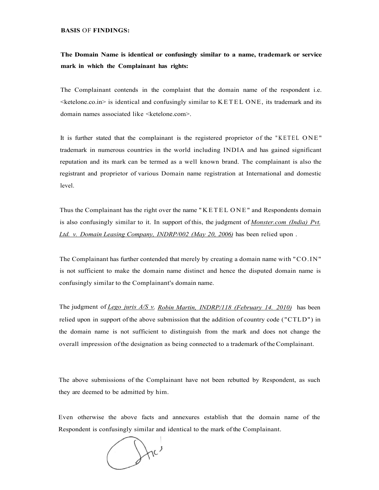**BASIS** OF **FINDINGS:** 

## **The Domain Name is identical or confusingly similar to a name, trademark or service mark in which the Complainant has rights:**

The Complainant contends in the complaint that the domain name of the respondent i.e.  $\leq$ ketelone.co.in $>$  is identical and confusingly similar to KETEL ONE, its trademark and its domain names associated like <ketelone.com>.

It is further stated that the complainant is the registered proprietor of the "KETEL ONE" trademark in numerous countries in the world including INDIA and has gained significant reputation and its mark can be termed as a well known brand. The complainant is also the registrant and proprietor of various Domain name registration at International and domestic level.

Thus the Complainant has the right over the name "KETE L ONE" and Respondents domain is also confusingly similar to it. In support of this, the judgment of *[Monster.com \(](http://Monster.com)India) Pvt. Ltd. v. Domain Leasing Company, INDRP/002 (May 20, 2006)* has been relied upon .

The Complainant has further contended that merely by creating a domain name with "CO.IN" is not sufficient to make the domain name distinct and hence the disputed domain name is confusingly similar to the Complainant's domain name.

The judgment of *Lego juris A/S v. Robin Martin, INDRP/118 (February 14. 2010)* has been relied upon in support of the above submission that the addition of country code ("CTLD") in the domain name is not sufficient to distinguish from the mark and does not change the overall impression of the designation as being connected to a trademark of the Complainant.

The above submissions of the Complainant have not been rebutted by Respondent, as such they are deemed to be admitted by him.

Even otherwise the above facts and annexures establish that the domain name of the Respondent is confusingly similar and identical to the mark of the Complainant.

 $\int$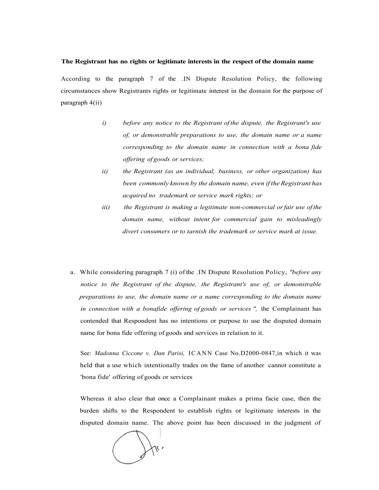#### **The Registrant has no rights or legitimate interests in the respect of the domain name**

According to the paragraph 7 of the .IN Dispute Resolution Policy, the following circumstances show Registrants rights or legitimate interest in the domain for the purpose of paragraph 4(ii)

- *i) before any notice to the Registrant of the dispute, the Registrant's use of, or demonstrable preparations to use, the domain name or a name corresponding to the domain name in connection with a bona fide offering of goods or services;*
- *ii) the Registrant (as an individual, business, or other organization) has been commonly known by the domain name, even if the Registrant has acquired no trademark or service mark rights; or*
- *iii) the Registrant is making a legitimate non-commercial or fair use of the domain name, without intent for commercial gain to misleadingly divert consumers or to tarnish the trademark or service mark at issue.*
- a. While considering paragraph 7 (i) of the .IN Dispute Resolution Policy, *"before any notice to the Registrant of the dispute, the Registrant's use of, or demonstrable preparations to use, the domain name or a name corresponding to the domain name in connection with a bonafide offering of goods or services ",* the Complainant has contended that Respondent has no intentions or purpose to use the disputed domain name for bona fide offering of goods and services in relation to it.

See: *Madonna Ciccone v. Dan Parisi,* ICANN Case No.D2000-0847,in which it was held that a use which intentionally trades on the fame of another cannot constitute a 'bona fide' offering of goods or services

Whereas it also clear that once a Complainant makes a prima facie case, then the burden shifts to the Respondent to establish rights or legitimate interests in the disputed domain name. The above point has been discussed in the judgment of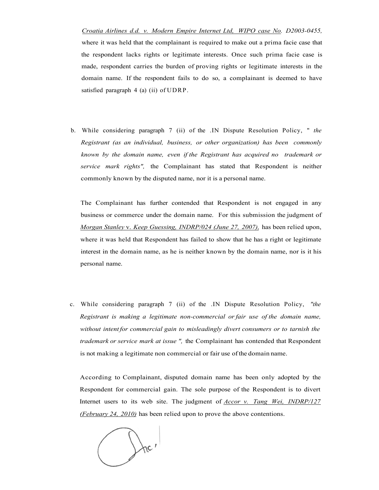*Croatia Airlines d.d. v. Modern Empire Internet Ltd, WIPO case No. D2003-0455,*  where it was held that the complainant is required to make out a prima facie case that the respondent lacks rights or legitimate interests. Once such prima facie case is made, respondent carries the burden of proving rights or legitimate interests in the domain name. If the respondent fails to do so, a complainant is deemed to have satisfied paragraph 4 (a) (ii) of UDRP.

b. While considering paragraph 7 (ii) of the .IN Dispute Resolution Policy, " *the Registrant (as an individual, business, or other organization) has been commonly known by the domain name, even if the Registrant has acquired no trademark or service mark rights",* the Complainant has stated that Respondent is neither commonly known by the disputed name, nor it is a personal name.

The Complainant has further contended that Respondent is not engaged in any business or commerce under the domain name. For this submission the judgment of *Morgan Stanley* v. *Keep Guessing, INDRP/024 (June 27, 2007),* has been relied upon, where it was held that Respondent has failed to show that he has a right or legitimate interest in the domain name, as he is neither known by the domain name, nor is it his personal name.

c. While considering paragraph 7 (ii) of the .IN Dispute Resolution Policy, *"the Registrant is making a legitimate non-commercial or fair use of the domain name, without intent for commercial gain to misleadingly divert consumers or to tarnish the trademark or service mark at issue ",* the Complainant has contended that Respondent is not making a legitimate non commercial or fair use of the domain name.

According to Complainant, disputed domain name has been only adopted by the Respondent for commercial gain. The sole purpose of the Respondent is to divert Internet users to its web site. The judgment of *Accor v. Tang Wei, INDRP/127 (February 24, 2010)* has been relied upon to prove the above contentions.

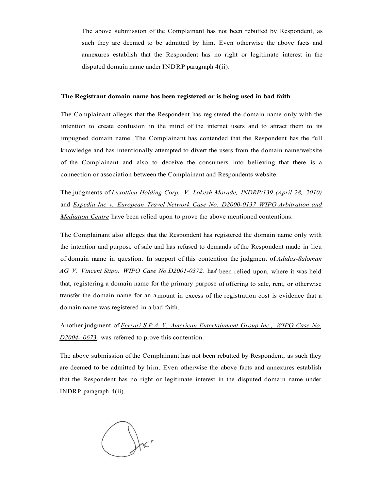The above submission of the Complainant has not been rebutted by Respondent, as such they are deemed to be admitted by him. Even otherwise the above facts and annexures establish that the Respondent has no right or legitimate interest in the disputed domain name under INDRP paragraph 4(ii).

#### **The Registrant domain name has been registered or is being used in bad faith**

The Complainant alleges that the Respondent has registered the domain name only with the intention to create confusion in the mind of the internet users and to attract them to its impugned domain name. The Complainant has contended that the Respondent has the full knowledge and has intentionally attempted to divert the users from the domain name/website of the Complainant and also to deceive the consumers into believing that there is a connection or association between the Complainant and Respondents website.

The judgments of *Luxottica Holding Corp. V. Lokesh Morade, INDRP/139 (April 28, 2010)*  and *Expedia Inc v. European Travel Network Case No. D2000-0137 WIPO Arbitration and Mediation Centre* have been relied upon to prove the above mentioned contentions.

The Complainant also alleges that the Respondent has registered the domain name only with the intention and purpose of sale and has refused to demands of the Respondent made in lieu of domain name in question. In support of this contention the judgment of *Adidas-Saloman AG V. Vincent Stipo. WIPO Case No.D2001-0372,* has' been relied upon, where it was held that, registering a domain name for the primary purpose of offering to sale, rent, or otherwise transfer the domain name for an a mount in excess of the registration cost is evidence that a domain name was registered in a bad faith.

Another judgment of *Ferrari S.P.A V. American Entertainment Group Inc., WIPO Case No. D2004- 0673.* was referred to prove this contention.

The above submission of the Complainant has not been rebutted by Respondent, as such they are deemed to be admitted by him. Even otherwise the above facts and annexures establish that the Respondent has no right or legitimate interest in the disputed domain name under INDRP paragraph 4(ii).